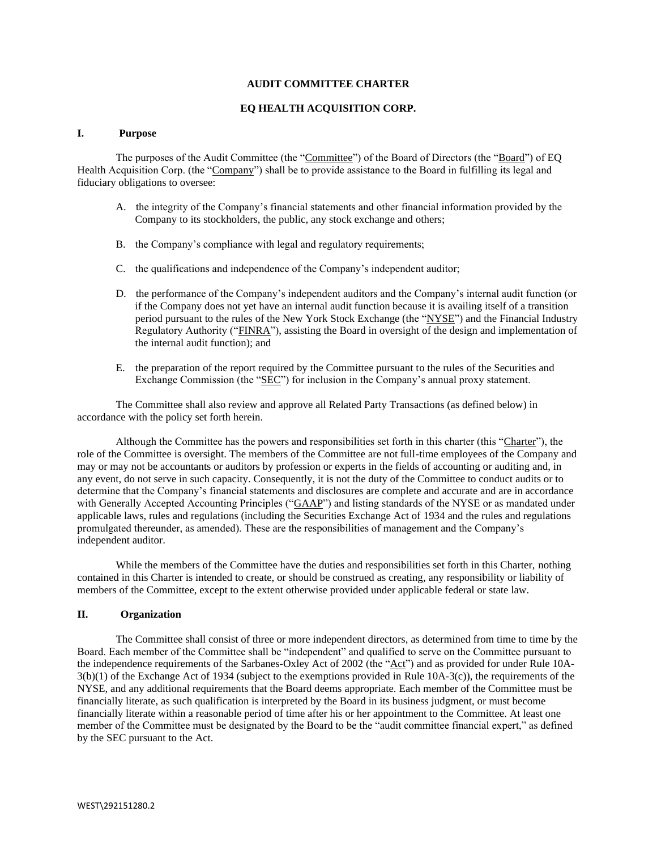#### **AUDIT COMMITTEE CHARTER**

## **EQ HEALTH ACQUISITION CORP.**

#### **I. Purpose**

The purposes of the Audit Committee (the "Committee") of the Board of Directors (the "Board") of EQ Health Acquisition Corp. (the "Company") shall be to provide assistance to the Board in fulfilling its legal and fiduciary obligations to oversee:

- A. the integrity of the Company's financial statements and other financial information provided by the Company to its stockholders, the public, any stock exchange and others;
- B. the Company's compliance with legal and regulatory requirements;
- C. the qualifications and independence of the Company's independent auditor;
- D. the performance of the Company's independent auditors and the Company's internal audit function (or if the Company does not yet have an internal audit function because it is availing itself of a transition period pursuant to the rules of the New York Stock Exchange (the "NYSE") and the Financial Industry Regulatory Authority ("FINRA"), assisting the Board in oversight of the design and implementation of the internal audit function); and
- E. the preparation of the report required by the Committee pursuant to the rules of the Securities and Exchange Commission (the "SEC") for inclusion in the Company's annual proxy statement.

The Committee shall also review and approve all Related Party Transactions (as defined below) in accordance with the policy set forth herein.

Although the Committee has the powers and responsibilities set forth in this charter (this "Charter"), the role of the Committee is oversight. The members of the Committee are not full-time employees of the Company and may or may not be accountants or auditors by profession or experts in the fields of accounting or auditing and, in any event, do not serve in such capacity. Consequently, it is not the duty of the Committee to conduct audits or to determine that the Company's financial statements and disclosures are complete and accurate and are in accordance with Generally Accepted Accounting Principles ("GAAP") and listing standards of the NYSE or as mandated under applicable laws, rules and regulations (including the Securities Exchange Act of 1934 and the rules and regulations promulgated thereunder, as amended). These are the responsibilities of management and the Company's independent auditor.

While the members of the Committee have the duties and responsibilities set forth in this Charter, nothing contained in this Charter is intended to create, or should be construed as creating, any responsibility or liability of members of the Committee, except to the extent otherwise provided under applicable federal or state law.

#### **II. Organization**

The Committee shall consist of three or more independent directors, as determined from time to time by the Board. Each member of the Committee shall be "independent" and qualified to serve on the Committee pursuant to the independence requirements of the Sarbanes-Oxley Act of 2002 (the "Act") and as provided for under Rule 10A-3(b)(1) of the Exchange Act of 1934 (subject to the exemptions provided in Rule 10A-3(c)), the requirements of the NYSE, and any additional requirements that the Board deems appropriate. Each member of the Committee must be financially literate, as such qualification is interpreted by the Board in its business judgment, or must become financially literate within a reasonable period of time after his or her appointment to the Committee. At least one member of the Committee must be designated by the Board to be the "audit committee financial expert," as defined by the SEC pursuant to the Act.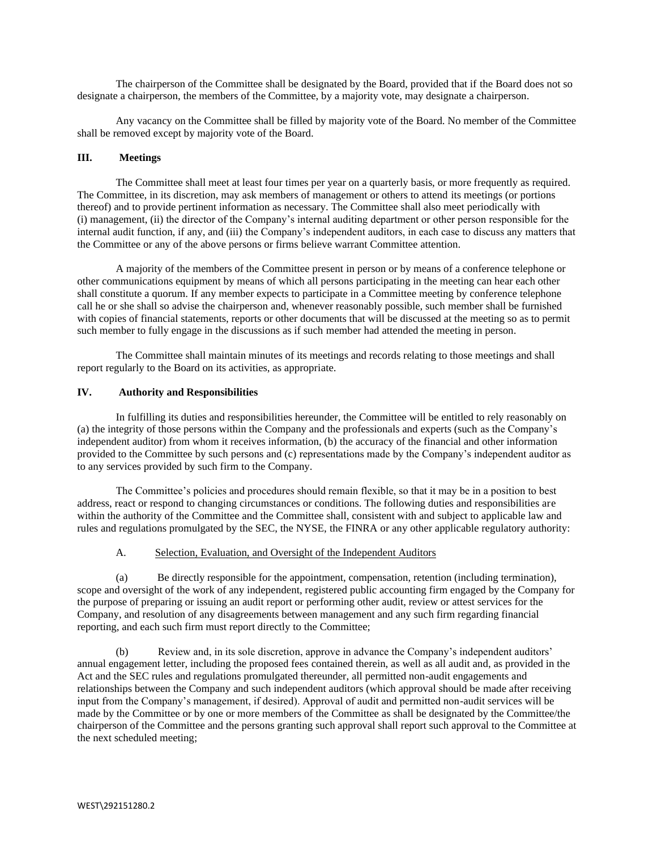The chairperson of the Committee shall be designated by the Board, provided that if the Board does not so designate a chairperson, the members of the Committee, by a majority vote, may designate a chairperson.

Any vacancy on the Committee shall be filled by majority vote of the Board. No member of the Committee shall be removed except by majority vote of the Board.

## **III. Meetings**

The Committee shall meet at least four times per year on a quarterly basis, or more frequently as required. The Committee, in its discretion, may ask members of management or others to attend its meetings (or portions thereof) and to provide pertinent information as necessary. The Committee shall also meet periodically with (i) management, (ii) the director of the Company's internal auditing department or other person responsible for the internal audit function, if any, and (iii) the Company's independent auditors, in each case to discuss any matters that the Committee or any of the above persons or firms believe warrant Committee attention.

A majority of the members of the Committee present in person or by means of a conference telephone or other communications equipment by means of which all persons participating in the meeting can hear each other shall constitute a quorum. If any member expects to participate in a Committee meeting by conference telephone call he or she shall so advise the chairperson and, whenever reasonably possible, such member shall be furnished with copies of financial statements, reports or other documents that will be discussed at the meeting so as to permit such member to fully engage in the discussions as if such member had attended the meeting in person.

The Committee shall maintain minutes of its meetings and records relating to those meetings and shall report regularly to the Board on its activities, as appropriate.

# **IV. Authority and Responsibilities**

In fulfilling its duties and responsibilities hereunder, the Committee will be entitled to rely reasonably on (a) the integrity of those persons within the Company and the professionals and experts (such as the Company's independent auditor) from whom it receives information, (b) the accuracy of the financial and other information provided to the Committee by such persons and (c) representations made by the Company's independent auditor as to any services provided by such firm to the Company.

The Committee's policies and procedures should remain flexible, so that it may be in a position to best address, react or respond to changing circumstances or conditions. The following duties and responsibilities are within the authority of the Committee and the Committee shall, consistent with and subject to applicable law and rules and regulations promulgated by the SEC, the NYSE, the FINRA or any other applicable regulatory authority:

#### A. Selection, Evaluation, and Oversight of the Independent Auditors

(a) Be directly responsible for the appointment, compensation, retention (including termination), scope and oversight of the work of any independent, registered public accounting firm engaged by the Company for the purpose of preparing or issuing an audit report or performing other audit, review or attest services for the Company, and resolution of any disagreements between management and any such firm regarding financial reporting, and each such firm must report directly to the Committee;

(b) Review and, in its sole discretion, approve in advance the Company's independent auditors' annual engagement letter, including the proposed fees contained therein, as well as all audit and, as provided in the Act and the SEC rules and regulations promulgated thereunder, all permitted non-audit engagements and relationships between the Company and such independent auditors (which approval should be made after receiving input from the Company's management, if desired). Approval of audit and permitted non-audit services will be made by the Committee or by one or more members of the Committee as shall be designated by the Committee/the chairperson of the Committee and the persons granting such approval shall report such approval to the Committee at the next scheduled meeting;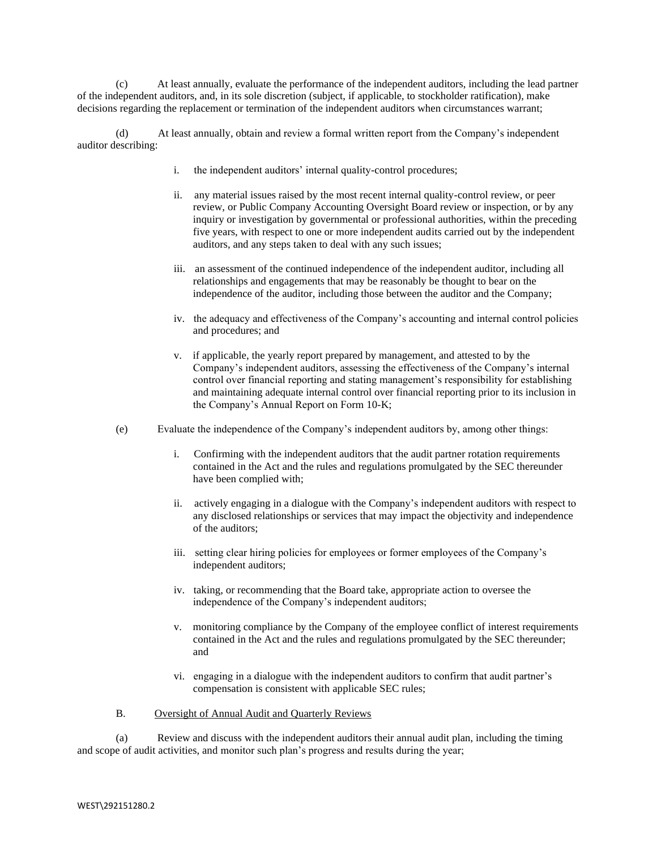(c) At least annually, evaluate the performance of the independent auditors, including the lead partner of the independent auditors, and, in its sole discretion (subject, if applicable, to stockholder ratification), make decisions regarding the replacement or termination of the independent auditors when circumstances warrant;

(d) At least annually, obtain and review a formal written report from the Company's independent auditor describing:

- i. the independent auditors' internal quality-control procedures;
- ii. any material issues raised by the most recent internal quality-control review, or peer review, or Public Company Accounting Oversight Board review or inspection, or by any inquiry or investigation by governmental or professional authorities, within the preceding five years, with respect to one or more independent audits carried out by the independent auditors, and any steps taken to deal with any such issues;
- iii. an assessment of the continued independence of the independent auditor, including all relationships and engagements that may be reasonably be thought to bear on the independence of the auditor, including those between the auditor and the Company;
- iv. the adequacy and effectiveness of the Company's accounting and internal control policies and procedures; and
- v. if applicable, the yearly report prepared by management, and attested to by the Company's independent auditors, assessing the effectiveness of the Company's internal control over financial reporting and stating management's responsibility for establishing and maintaining adequate internal control over financial reporting prior to its inclusion in the Company's Annual Report on Form 10-K;
- (e) Evaluate the independence of the Company's independent auditors by, among other things:
	- i. Confirming with the independent auditors that the audit partner rotation requirements contained in the Act and the rules and regulations promulgated by the SEC thereunder have been complied with;
	- ii. actively engaging in a dialogue with the Company's independent auditors with respect to any disclosed relationships or services that may impact the objectivity and independence of the auditors;
	- iii. setting clear hiring policies for employees or former employees of the Company's independent auditors;
	- iv. taking, or recommending that the Board take, appropriate action to oversee the independence of the Company's independent auditors;
	- v. monitoring compliance by the Company of the employee conflict of interest requirements contained in the Act and the rules and regulations promulgated by the SEC thereunder; and
	- vi. engaging in a dialogue with the independent auditors to confirm that audit partner's compensation is consistent with applicable SEC rules;
- B. Oversight of Annual Audit and Quarterly Reviews

(a) Review and discuss with the independent auditors their annual audit plan, including the timing and scope of audit activities, and monitor such plan's progress and results during the year;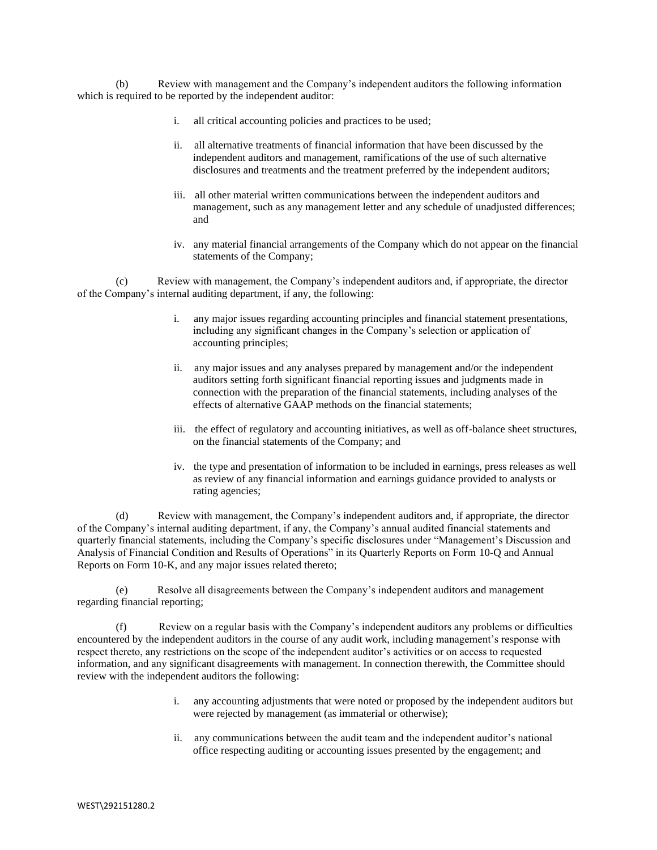(b) Review with management and the Company's independent auditors the following information which is required to be reported by the independent auditor:

- i. all critical accounting policies and practices to be used;
- ii. all alternative treatments of financial information that have been discussed by the independent auditors and management, ramifications of the use of such alternative disclosures and treatments and the treatment preferred by the independent auditors;
- iii. all other material written communications between the independent auditors and management, such as any management letter and any schedule of unadjusted differences; and
- iv. any material financial arrangements of the Company which do not appear on the financial statements of the Company;

(c) Review with management, the Company's independent auditors and, if appropriate, the director of the Company's internal auditing department, if any, the following:

- i. any major issues regarding accounting principles and financial statement presentations, including any significant changes in the Company's selection or application of accounting principles;
- ii. any major issues and any analyses prepared by management and/or the independent auditors setting forth significant financial reporting issues and judgments made in connection with the preparation of the financial statements, including analyses of the effects of alternative GAAP methods on the financial statements;
- iii. the effect of regulatory and accounting initiatives, as well as off-balance sheet structures, on the financial statements of the Company; and
- iv. the type and presentation of information to be included in earnings, press releases as well as review of any financial information and earnings guidance provided to analysts or rating agencies;

(d) Review with management, the Company's independent auditors and, if appropriate, the director of the Company's internal auditing department, if any, the Company's annual audited financial statements and quarterly financial statements, including the Company's specific disclosures under "Management's Discussion and Analysis of Financial Condition and Results of Operations" in its Quarterly Reports on Form 10-Q and Annual Reports on Form 10-K, and any major issues related thereto;

(e) Resolve all disagreements between the Company's independent auditors and management regarding financial reporting;

(f) Review on a regular basis with the Company's independent auditors any problems or difficulties encountered by the independent auditors in the course of any audit work, including management's response with respect thereto, any restrictions on the scope of the independent auditor's activities or on access to requested information, and any significant disagreements with management. In connection therewith, the Committee should review with the independent auditors the following:

- i. any accounting adjustments that were noted or proposed by the independent auditors but were rejected by management (as immaterial or otherwise);
- ii. any communications between the audit team and the independent auditor's national office respecting auditing or accounting issues presented by the engagement; and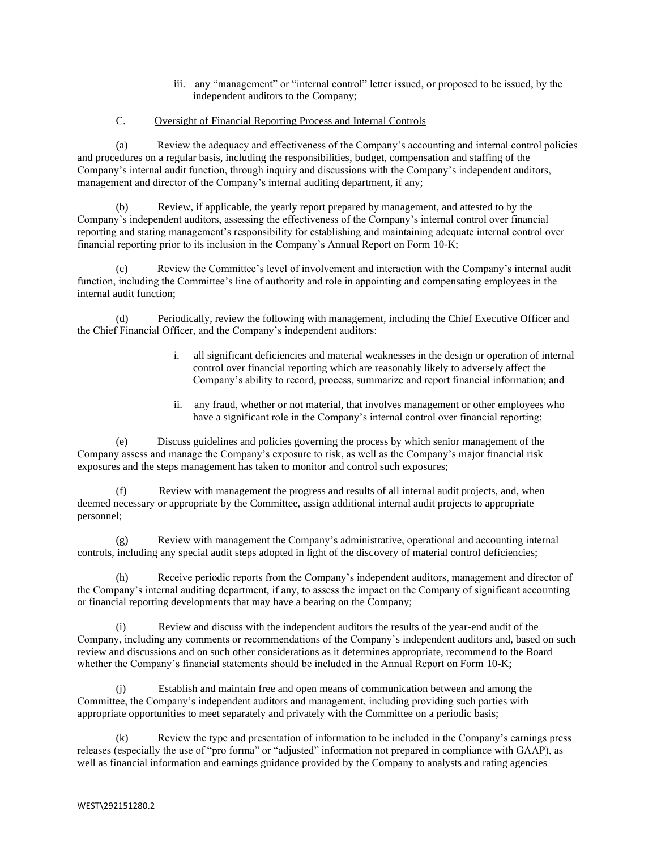iii. any "management" or "internal control" letter issued, or proposed to be issued, by the independent auditors to the Company;

# C. Oversight of Financial Reporting Process and Internal Controls

(a) Review the adequacy and effectiveness of the Company's accounting and internal control policies and procedures on a regular basis, including the responsibilities, budget, compensation and staffing of the Company's internal audit function, through inquiry and discussions with the Company's independent auditors, management and director of the Company's internal auditing department, if any;

(b) Review, if applicable, the yearly report prepared by management, and attested to by the Company's independent auditors, assessing the effectiveness of the Company's internal control over financial reporting and stating management's responsibility for establishing and maintaining adequate internal control over financial reporting prior to its inclusion in the Company's Annual Report on Form 10-K;

Review the Committee's level of involvement and interaction with the Company's internal audit function, including the Committee's line of authority and role in appointing and compensating employees in the internal audit function;

(d) Periodically, review the following with management, including the Chief Executive Officer and the Chief Financial Officer, and the Company's independent auditors:

- i. all significant deficiencies and material weaknesses in the design or operation of internal control over financial reporting which are reasonably likely to adversely affect the Company's ability to record, process, summarize and report financial information; and
- ii. any fraud, whether or not material, that involves management or other employees who have a significant role in the Company's internal control over financial reporting;

(e) Discuss guidelines and policies governing the process by which senior management of the Company assess and manage the Company's exposure to risk, as well as the Company's major financial risk exposures and the steps management has taken to monitor and control such exposures;

(f) Review with management the progress and results of all internal audit projects, and, when deemed necessary or appropriate by the Committee, assign additional internal audit projects to appropriate personnel;

Review with management the Company's administrative, operational and accounting internal controls, including any special audit steps adopted in light of the discovery of material control deficiencies;

(h) Receive periodic reports from the Company's independent auditors, management and director of the Company's internal auditing department, if any, to assess the impact on the Company of significant accounting or financial reporting developments that may have a bearing on the Company;

(i) Review and discuss with the independent auditors the results of the year-end audit of the Company, including any comments or recommendations of the Company's independent auditors and, based on such review and discussions and on such other considerations as it determines appropriate, recommend to the Board whether the Company's financial statements should be included in the Annual Report on Form 10-K;

(j) Establish and maintain free and open means of communication between and among the Committee, the Company's independent auditors and management, including providing such parties with appropriate opportunities to meet separately and privately with the Committee on a periodic basis;

(k) Review the type and presentation of information to be included in the Company's earnings press releases (especially the use of "pro forma" or "adjusted" information not prepared in compliance with GAAP), as well as financial information and earnings guidance provided by the Company to analysts and rating agencies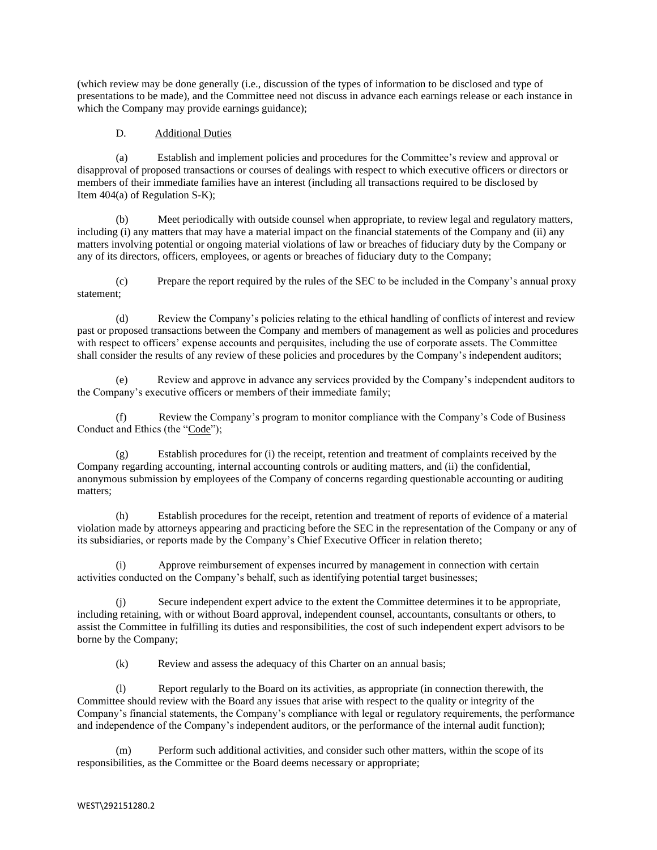(which review may be done generally (i.e., discussion of the types of information to be disclosed and type of presentations to be made), and the Committee need not discuss in advance each earnings release or each instance in which the Company may provide earnings guidance);

## D. Additional Duties

(a) Establish and implement policies and procedures for the Committee's review and approval or disapproval of proposed transactions or courses of dealings with respect to which executive officers or directors or members of their immediate families have an interest (including all transactions required to be disclosed by Item 404(a) of Regulation S-K);

(b) Meet periodically with outside counsel when appropriate, to review legal and regulatory matters, including (i) any matters that may have a material impact on the financial statements of the Company and (ii) any matters involving potential or ongoing material violations of law or breaches of fiduciary duty by the Company or any of its directors, officers, employees, or agents or breaches of fiduciary duty to the Company;

(c) Prepare the report required by the rules of the SEC to be included in the Company's annual proxy statement;

(d) Review the Company's policies relating to the ethical handling of conflicts of interest and review past or proposed transactions between the Company and members of management as well as policies and procedures with respect to officers' expense accounts and perquisites, including the use of corporate assets. The Committee shall consider the results of any review of these policies and procedures by the Company's independent auditors;

(e) Review and approve in advance any services provided by the Company's independent auditors to the Company's executive officers or members of their immediate family;

(f) Review the Company's program to monitor compliance with the Company's Code of Business Conduct and Ethics (the "Code");

(g) Establish procedures for (i) the receipt, retention and treatment of complaints received by the Company regarding accounting, internal accounting controls or auditing matters, and (ii) the confidential, anonymous submission by employees of the Company of concerns regarding questionable accounting or auditing matters;

(h) Establish procedures for the receipt, retention and treatment of reports of evidence of a material violation made by attorneys appearing and practicing before the SEC in the representation of the Company or any of its subsidiaries, or reports made by the Company's Chief Executive Officer in relation thereto;

(i) Approve reimbursement of expenses incurred by management in connection with certain activities conducted on the Company's behalf, such as identifying potential target businesses;

(j) Secure independent expert advice to the extent the Committee determines it to be appropriate, including retaining, with or without Board approval, independent counsel, accountants, consultants or others, to assist the Committee in fulfilling its duties and responsibilities, the cost of such independent expert advisors to be borne by the Company;

(k) Review and assess the adequacy of this Charter on an annual basis;

(l) Report regularly to the Board on its activities, as appropriate (in connection therewith, the Committee should review with the Board any issues that arise with respect to the quality or integrity of the Company's financial statements, the Company's compliance with legal or regulatory requirements, the performance and independence of the Company's independent auditors, or the performance of the internal audit function);

(m) Perform such additional activities, and consider such other matters, within the scope of its responsibilities, as the Committee or the Board deems necessary or appropriate;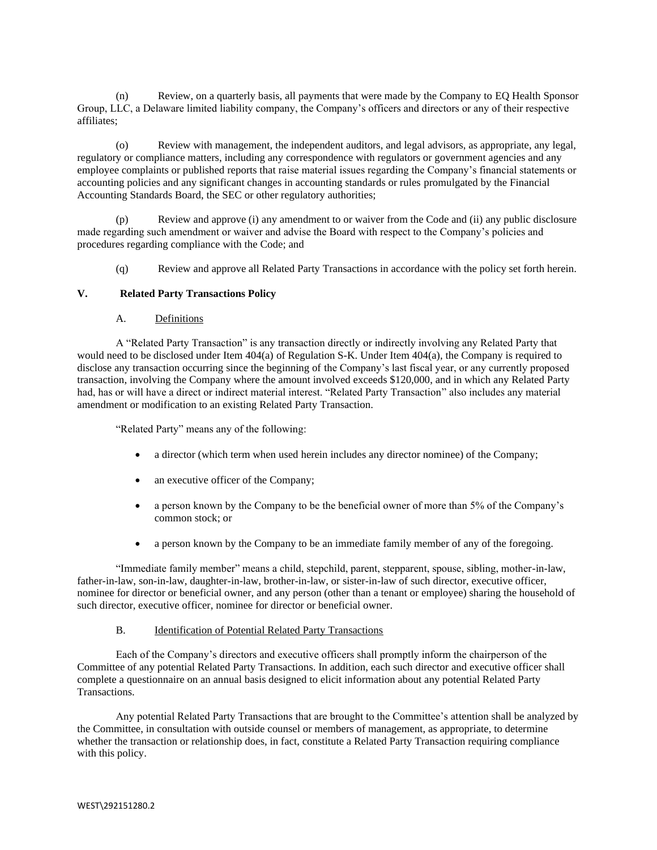(n) Review, on a quarterly basis, all payments that were made by the Company to EQ Health Sponsor Group, LLC, a Delaware limited liability company, the Company's officers and directors or any of their respective affiliates;

(o) Review with management, the independent auditors, and legal advisors, as appropriate, any legal, regulatory or compliance matters, including any correspondence with regulators or government agencies and any employee complaints or published reports that raise material issues regarding the Company's financial statements or accounting policies and any significant changes in accounting standards or rules promulgated by the Financial Accounting Standards Board, the SEC or other regulatory authorities;

(p) Review and approve (i) any amendment to or waiver from the Code and (ii) any public disclosure made regarding such amendment or waiver and advise the Board with respect to the Company's policies and procedures regarding compliance with the Code; and

(q) Review and approve all Related Party Transactions in accordance with the policy set forth herein.

### **V. Related Party Transactions Policy**

# A. Definitions

A "Related Party Transaction" is any transaction directly or indirectly involving any Related Party that would need to be disclosed under Item 404(a) of Regulation S-K. Under Item 404(a), the Company is required to disclose any transaction occurring since the beginning of the Company's last fiscal year, or any currently proposed transaction, involving the Company where the amount involved exceeds \$120,000, and in which any Related Party had, has or will have a direct or indirect material interest. "Related Party Transaction" also includes any material amendment or modification to an existing Related Party Transaction.

"Related Party" means any of the following:

- a director (which term when used herein includes any director nominee) of the Company;
- an executive officer of the Company;
- a person known by the Company to be the beneficial owner of more than 5% of the Company's common stock; or
- a person known by the Company to be an immediate family member of any of the foregoing.

"Immediate family member" means a child, stepchild, parent, stepparent, spouse, sibling, mother-in-law, father-in-law, son-in-law, daughter-in-law, brother-in-law, or sister-in-law of such director, executive officer, nominee for director or beneficial owner, and any person (other than a tenant or employee) sharing the household of such director, executive officer, nominee for director or beneficial owner.

### B. Identification of Potential Related Party Transactions

Each of the Company's directors and executive officers shall promptly inform the chairperson of the Committee of any potential Related Party Transactions. In addition, each such director and executive officer shall complete a questionnaire on an annual basis designed to elicit information about any potential Related Party Transactions.

Any potential Related Party Transactions that are brought to the Committee's attention shall be analyzed by the Committee, in consultation with outside counsel or members of management, as appropriate, to determine whether the transaction or relationship does, in fact, constitute a Related Party Transaction requiring compliance with this policy.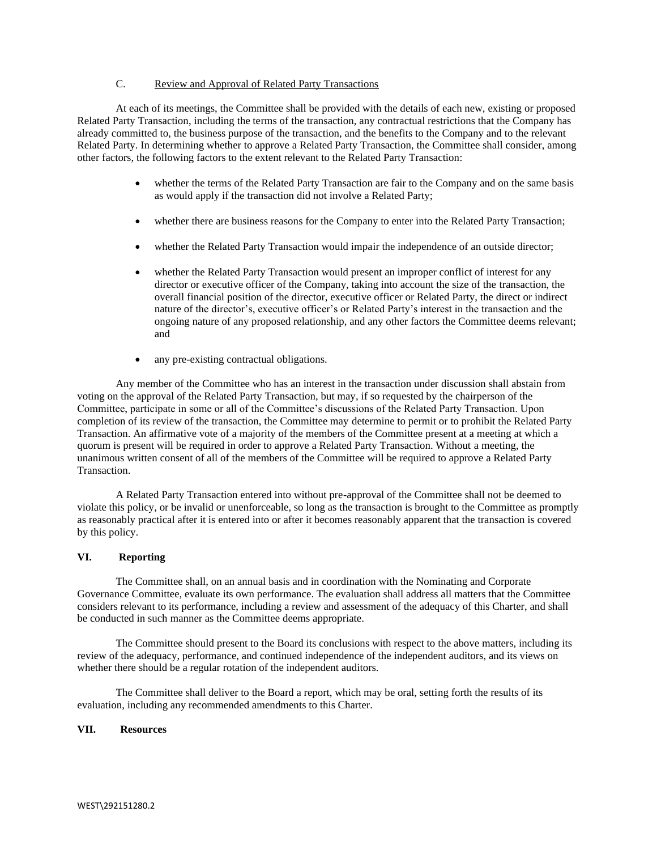# C. Review and Approval of Related Party Transactions

At each of its meetings, the Committee shall be provided with the details of each new, existing or proposed Related Party Transaction, including the terms of the transaction, any contractual restrictions that the Company has already committed to, the business purpose of the transaction, and the benefits to the Company and to the relevant Related Party. In determining whether to approve a Related Party Transaction, the Committee shall consider, among other factors, the following factors to the extent relevant to the Related Party Transaction:

- whether the terms of the Related Party Transaction are fair to the Company and on the same basis as would apply if the transaction did not involve a Related Party;
- whether there are business reasons for the Company to enter into the Related Party Transaction;
- whether the Related Party Transaction would impair the independence of an outside director;
- whether the Related Party Transaction would present an improper conflict of interest for any director or executive officer of the Company, taking into account the size of the transaction, the overall financial position of the director, executive officer or Related Party, the direct or indirect nature of the director's, executive officer's or Related Party's interest in the transaction and the ongoing nature of any proposed relationship, and any other factors the Committee deems relevant; and
- any pre-existing contractual obligations.

Any member of the Committee who has an interest in the transaction under discussion shall abstain from voting on the approval of the Related Party Transaction, but may, if so requested by the chairperson of the Committee, participate in some or all of the Committee's discussions of the Related Party Transaction. Upon completion of its review of the transaction, the Committee may determine to permit or to prohibit the Related Party Transaction. An affirmative vote of a majority of the members of the Committee present at a meeting at which a quorum is present will be required in order to approve a Related Party Transaction. Without a meeting, the unanimous written consent of all of the members of the Committee will be required to approve a Related Party Transaction.

A Related Party Transaction entered into without pre-approval of the Committee shall not be deemed to violate this policy, or be invalid or unenforceable, so long as the transaction is brought to the Committee as promptly as reasonably practical after it is entered into or after it becomes reasonably apparent that the transaction is covered by this policy.

## **VI. Reporting**

The Committee shall, on an annual basis and in coordination with the Nominating and Corporate Governance Committee, evaluate its own performance. The evaluation shall address all matters that the Committee considers relevant to its performance, including a review and assessment of the adequacy of this Charter, and shall be conducted in such manner as the Committee deems appropriate.

The Committee should present to the Board its conclusions with respect to the above matters, including its review of the adequacy, performance, and continued independence of the independent auditors, and its views on whether there should be a regular rotation of the independent auditors.

The Committee shall deliver to the Board a report, which may be oral, setting forth the results of its evaluation, including any recommended amendments to this Charter.

## **VII. Resources**